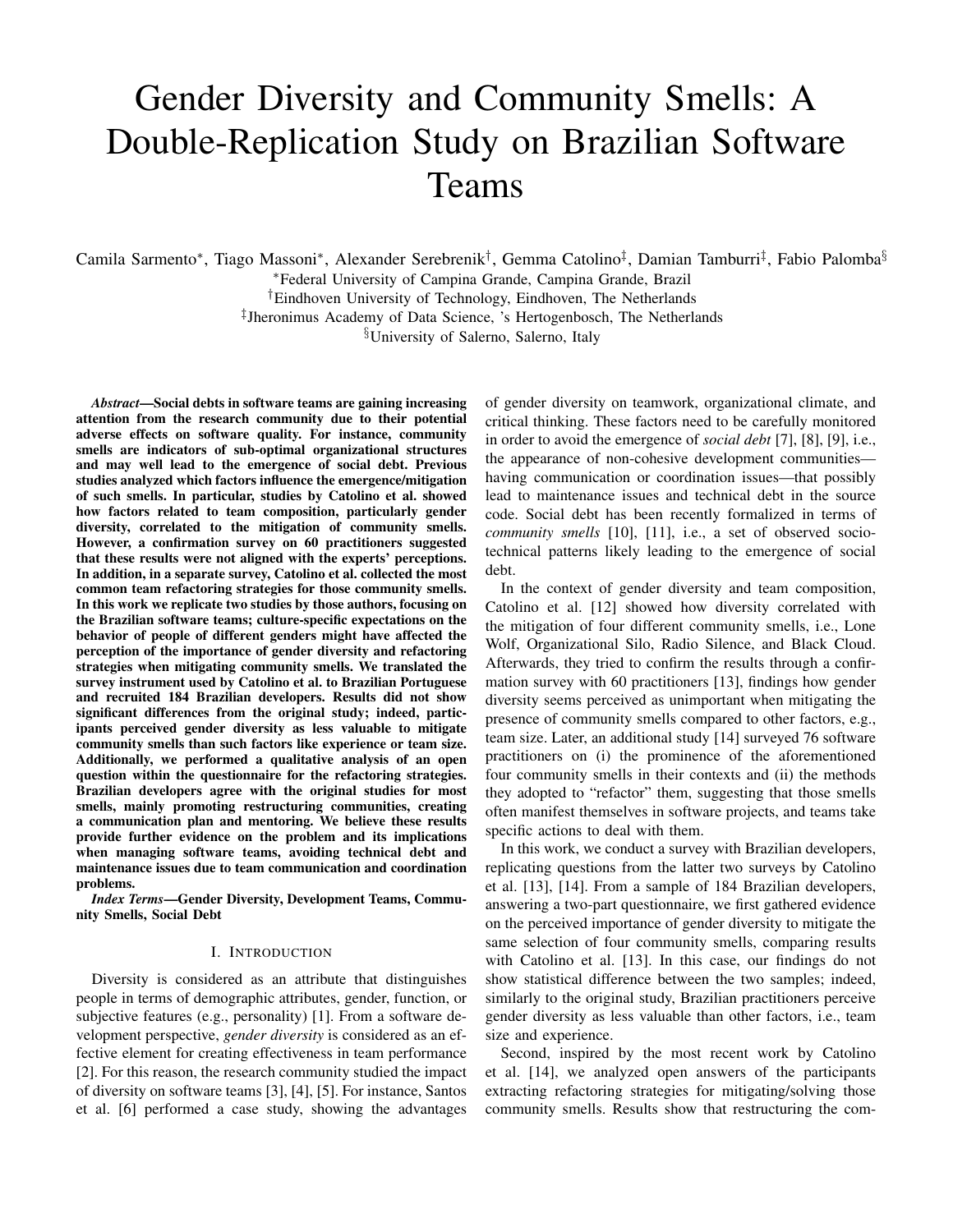# Gender Diversity and Community Smells: A Double-Replication Study on Brazilian Software Teams

Camila Sarmento\*, Tiago Massoni\*, Alexander Serebrenik<sup>†</sup>, Gemma Catolino<sup>‡</sup>, Damian Tamburri<sup>‡</sup>, Fabio Palomba<sup>§</sup> <sup>∗</sup>Federal University of Campina Grande, Campina Grande, Brazil

†Eindhoven University of Technology, Eindhoven, The Netherlands

‡ Jheronimus Academy of Data Science, 's Hertogenbosch, The Netherlands

§University of Salerno, Salerno, Italy

*Abstract*—Social debts in software teams are gaining increasing attention from the research community due to their potential adverse effects on software quality. For instance, community smells are indicators of sub-optimal organizational structures and may well lead to the emergence of social debt. Previous studies analyzed which factors influence the emergence/mitigation of such smells. In particular, studies by Catolino et al. showed how factors related to team composition, particularly gender diversity, correlated to the mitigation of community smells. However, a confirmation survey on 60 practitioners suggested that these results were not aligned with the experts' perceptions. In addition, in a separate survey, Catolino et al. collected the most common team refactoring strategies for those community smells. In this work we replicate two studies by those authors, focusing on the Brazilian software teams; culture-specific expectations on the behavior of people of different genders might have affected the perception of the importance of gender diversity and refactoring strategies when mitigating community smells. We translated the survey instrument used by Catolino et al. to Brazilian Portuguese and recruited 184 Brazilian developers. Results did not show significant differences from the original study; indeed, participants perceived gender diversity as less valuable to mitigate community smells than such factors like experience or team size. Additionally, we performed a qualitative analysis of an open question within the questionnaire for the refactoring strategies. Brazilian developers agree with the original studies for most smells, mainly promoting restructuring communities, creating a communication plan and mentoring. We believe these results provide further evidence on the problem and its implications when managing software teams, avoiding technical debt and maintenance issues due to team communication and coordination problems.

*Index Terms*—Gender Diversity, Development Teams, Community Smells, Social Debt

#### I. INTRODUCTION

Diversity is considered as an attribute that distinguishes people in terms of demographic attributes, gender, function, or subjective features (e.g., personality) [1]. From a software development perspective, *gender diversity* is considered as an effective element for creating effectiveness in team performance [2]. For this reason, the research community studied the impact of diversity on software teams [3], [4], [5]. For instance, Santos et al. [6] performed a case study, showing the advantages of gender diversity on teamwork, organizational climate, and critical thinking. These factors need to be carefully monitored in order to avoid the emergence of *social debt* [7], [8], [9], i.e., the appearance of non-cohesive development communities having communication or coordination issues—that possibly lead to maintenance issues and technical debt in the source code. Social debt has been recently formalized in terms of *community smells* [10], [11], i.e., a set of observed sociotechnical patterns likely leading to the emergence of social debt.

In the context of gender diversity and team composition, Catolino et al. [12] showed how diversity correlated with the mitigation of four different community smells, i.e., Lone Wolf, Organizational Silo, Radio Silence, and Black Cloud. Afterwards, they tried to confirm the results through a confirmation survey with 60 practitioners [13], findings how gender diversity seems perceived as unimportant when mitigating the presence of community smells compared to other factors, e.g., team size. Later, an additional study [14] surveyed 76 software practitioners on (i) the prominence of the aforementioned four community smells in their contexts and (ii) the methods they adopted to "refactor" them, suggesting that those smells often manifest themselves in software projects, and teams take specific actions to deal with them.

In this work, we conduct a survey with Brazilian developers, replicating questions from the latter two surveys by Catolino et al. [13], [14]. From a sample of 184 Brazilian developers, answering a two-part questionnaire, we first gathered evidence on the perceived importance of gender diversity to mitigate the same selection of four community smells, comparing results with Catolino et al. [13]. In this case, our findings do not show statistical difference between the two samples; indeed, similarly to the original study, Brazilian practitioners perceive gender diversity as less valuable than other factors, i.e., team size and experience.

Second, inspired by the most recent work by Catolino et al. [14], we analyzed open answers of the participants extracting refactoring strategies for mitigating/solving those community smells. Results show that restructuring the com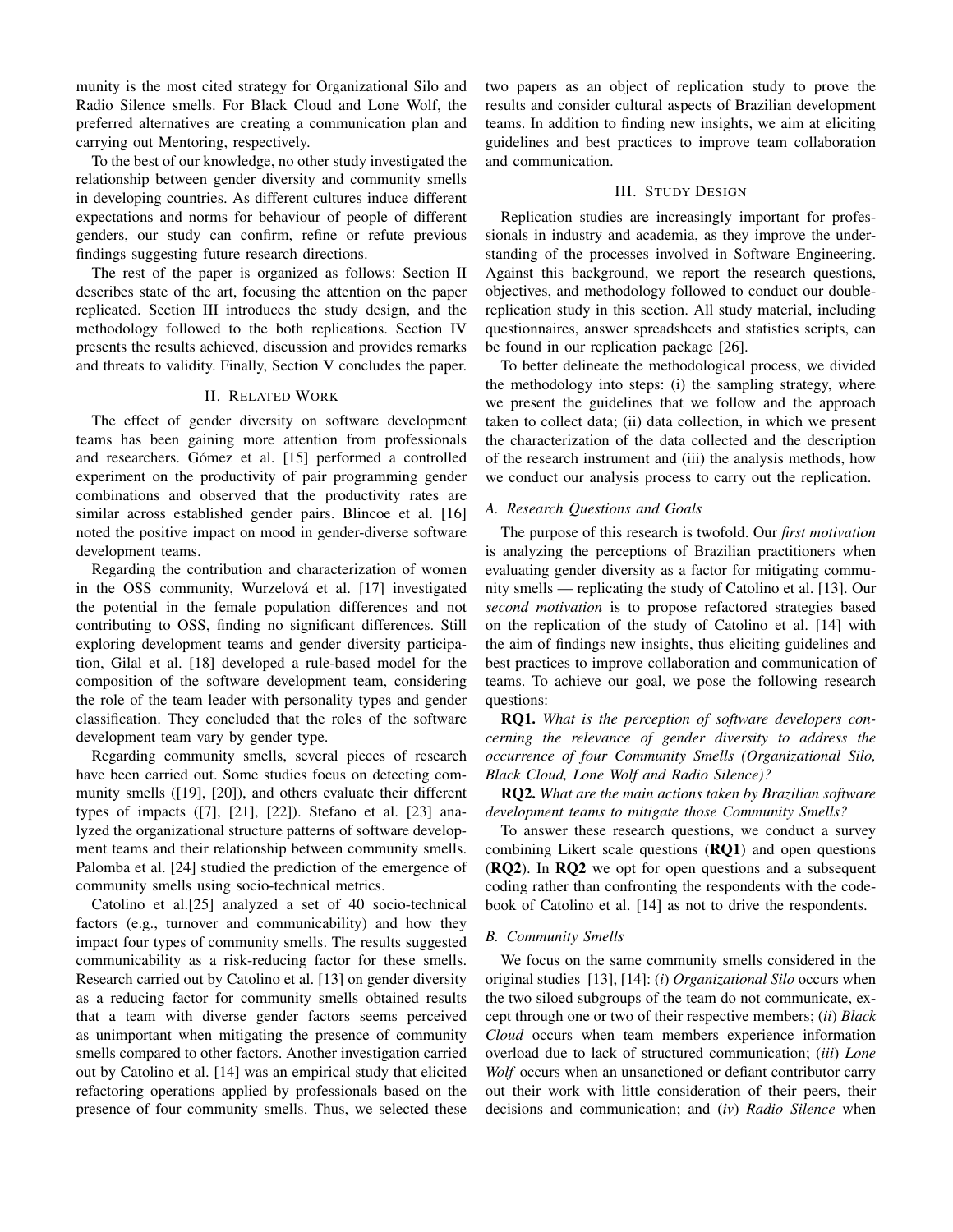munity is the most cited strategy for Organizational Silo and Radio Silence smells. For Black Cloud and Lone Wolf, the preferred alternatives are creating a communication plan and carrying out Mentoring, respectively.

To the best of our knowledge, no other study investigated the relationship between gender diversity and community smells in developing countries. As different cultures induce different expectations and norms for behaviour of people of different genders, our study can confirm, refine or refute previous findings suggesting future research directions.

The rest of the paper is organized as follows: Section II describes state of the art, focusing the attention on the paper replicated. Section III introduces the study design, and the methodology followed to the both replications. Section IV presents the results achieved, discussion and provides remarks and threats to validity. Finally, Section V concludes the paper.

#### II. RELATED WORK

The effect of gender diversity on software development teams has been gaining more attention from professionals and researchers. Gómez et al. [15] performed a controlled experiment on the productivity of pair programming gender combinations and observed that the productivity rates are similar across established gender pairs. Blincoe et al. [16] noted the positive impact on mood in gender-diverse software development teams.

Regarding the contribution and characterization of women in the OSS community, Wurzelová et al. [17] investigated the potential in the female population differences and not contributing to OSS, finding no significant differences. Still exploring development teams and gender diversity participation, Gilal et al. [18] developed a rule-based model for the composition of the software development team, considering the role of the team leader with personality types and gender classification. They concluded that the roles of the software development team vary by gender type.

Regarding community smells, several pieces of research have been carried out. Some studies focus on detecting community smells ([19], [20]), and others evaluate their different types of impacts ([7], [21], [22]). Stefano et al. [23] analyzed the organizational structure patterns of software development teams and their relationship between community smells. Palomba et al. [24] studied the prediction of the emergence of community smells using socio-technical metrics.

Catolino et al.[25] analyzed a set of 40 socio-technical factors (e.g., turnover and communicability) and how they impact four types of community smells. The results suggested communicability as a risk-reducing factor for these smells. Research carried out by Catolino et al. [13] on gender diversity as a reducing factor for community smells obtained results that a team with diverse gender factors seems perceived as unimportant when mitigating the presence of community smells compared to other factors. Another investigation carried out by Catolino et al. [14] was an empirical study that elicited refactoring operations applied by professionals based on the presence of four community smells. Thus, we selected these two papers as an object of replication study to prove the results and consider cultural aspects of Brazilian development teams. In addition to finding new insights, we aim at eliciting guidelines and best practices to improve team collaboration and communication.

#### III. STUDY DESIGN

Replication studies are increasingly important for professionals in industry and academia, as they improve the understanding of the processes involved in Software Engineering. Against this background, we report the research questions, objectives, and methodology followed to conduct our doublereplication study in this section. All study material, including questionnaires, answer spreadsheets and statistics scripts, can be found in our replication package [26].

To better delineate the methodological process, we divided the methodology into steps: (i) the sampling strategy, where we present the guidelines that we follow and the approach taken to collect data; (ii) data collection, in which we present the characterization of the data collected and the description of the research instrument and (iii) the analysis methods, how we conduct our analysis process to carry out the replication.

#### *A. Research Questions and Goals*

The purpose of this research is twofold. Our *first motivation* is analyzing the perceptions of Brazilian practitioners when evaluating gender diversity as a factor for mitigating community smells — replicating the study of Catolino et al. [13]. Our *second motivation* is to propose refactored strategies based on the replication of the study of Catolino et al. [14] with the aim of findings new insights, thus eliciting guidelines and best practices to improve collaboration and communication of teams. To achieve our goal, we pose the following research questions:

RQ1. *What is the perception of software developers concerning the relevance of gender diversity to address the occurrence of four Community Smells (Organizational Silo, Black Cloud, Lone Wolf and Radio Silence)?*

RQ2. *What are the main actions taken by Brazilian software development teams to mitigate those Community Smells?*

To answer these research questions, we conduct a survey combining Likert scale questions (RQ1) and open questions (RQ2). In RQ2 we opt for open questions and a subsequent coding rather than confronting the respondents with the codebook of Catolino et al. [14] as not to drive the respondents.

## *B. Community Smells*

We focus on the same community smells considered in the original studies [13], [14]: (*i*) *Organizational Silo* occurs when the two siloed subgroups of the team do not communicate, except through one or two of their respective members; (*ii*) *Black Cloud* occurs when team members experience information overload due to lack of structured communication; (*iii*) *Lone Wolf* occurs when an unsanctioned or defiant contributor carry out their work with little consideration of their peers, their decisions and communication; and (*iv*) *Radio Silence* when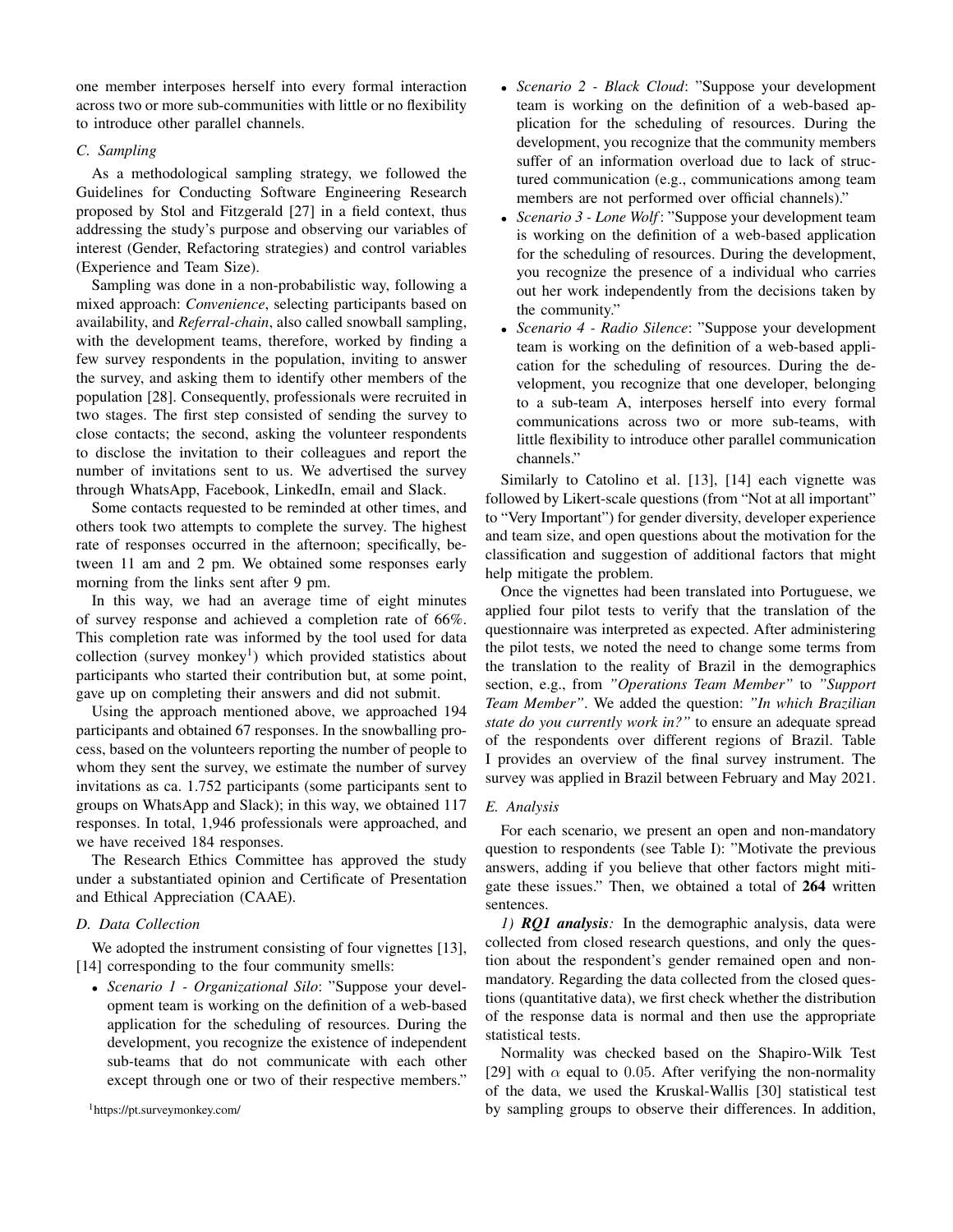one member interposes herself into every formal interaction across two or more sub-communities with little or no flexibility to introduce other parallel channels.

# *C. Sampling*

As a methodological sampling strategy, we followed the Guidelines for Conducting Software Engineering Research proposed by Stol and Fitzgerald [27] in a field context, thus addressing the study's purpose and observing our variables of interest (Gender, Refactoring strategies) and control variables (Experience and Team Size).

Sampling was done in a non-probabilistic way, following a mixed approach: *Convenience*, selecting participants based on availability, and *Referral-chain*, also called snowball sampling, with the development teams, therefore, worked by finding a few survey respondents in the population, inviting to answer the survey, and asking them to identify other members of the population [28]. Consequently, professionals were recruited in two stages. The first step consisted of sending the survey to close contacts; the second, asking the volunteer respondents to disclose the invitation to their colleagues and report the number of invitations sent to us. We advertised the survey through WhatsApp, Facebook, LinkedIn, email and Slack.

Some contacts requested to be reminded at other times, and others took two attempts to complete the survey. The highest rate of responses occurred in the afternoon; specifically, between 11 am and 2 pm. We obtained some responses early morning from the links sent after 9 pm.

In this way, we had an average time of eight minutes of survey response and achieved a completion rate of 66%. This completion rate was informed by the tool used for data collection (survey monkey<sup>1</sup>) which provided statistics about participants who started their contribution but, at some point, gave up on completing their answers and did not submit.

Using the approach mentioned above, we approached 194 participants and obtained 67 responses. In the snowballing process, based on the volunteers reporting the number of people to whom they sent the survey, we estimate the number of survey invitations as ca. 1.752 participants (some participants sent to groups on WhatsApp and Slack); in this way, we obtained 117 responses. In total, 1,946 professionals were approached, and we have received 184 responses.

The Research Ethics Committee has approved the study under a substantiated opinion and Certificate of Presentation and Ethical Appreciation (CAAE).

# *D. Data Collection*

We adopted the instrument consisting of four vignettes [13], [14] corresponding to the four community smells:

• *Scenario 1 - Organizational Silo*: "Suppose your development team is working on the definition of a web-based application for the scheduling of resources. During the development, you recognize the existence of independent sub-teams that do not communicate with each other except through one or two of their respective members."

- *Scenario 2 Black Cloud*: "Suppose your development team is working on the definition of a web-based application for the scheduling of resources. During the development, you recognize that the community members suffer of an information overload due to lack of structured communication (e.g., communications among team members are not performed over official channels)."
- *Scenario 3 Lone Wolf*: "Suppose your development team is working on the definition of a web-based application for the scheduling of resources. During the development, you recognize the presence of a individual who carries out her work independently from the decisions taken by the community."
- *Scenario 4 Radio Silence*: "Suppose your development team is working on the definition of a web-based application for the scheduling of resources. During the development, you recognize that one developer, belonging to a sub-team A, interposes herself into every formal communications across two or more sub-teams, with little flexibility to introduce other parallel communication channels."

Similarly to Catolino et al. [13], [14] each vignette was followed by Likert-scale questions (from "Not at all important" to "Very Important") for gender diversity, developer experience and team size, and open questions about the motivation for the classification and suggestion of additional factors that might help mitigate the problem.

Once the vignettes had been translated into Portuguese, we applied four pilot tests to verify that the translation of the questionnaire was interpreted as expected. After administering the pilot tests, we noted the need to change some terms from the translation to the reality of Brazil in the demographics section, e.g., from *"Operations Team Member"* to *"Support Team Member"*. We added the question: *"In which Brazilian state do you currently work in?"* to ensure an adequate spread of the respondents over different regions of Brazil. Table I provides an overview of the final survey instrument. The survey was applied in Brazil between February and May 2021.

# *E. Analysis*

For each scenario, we present an open and non-mandatory question to respondents (see Table I): "Motivate the previous answers, adding if you believe that other factors might mitigate these issues." Then, we obtained a total of 264 written sentences.

*1) RQ1 analysis:* In the demographic analysis, data were collected from closed research questions, and only the question about the respondent's gender remained open and nonmandatory. Regarding the data collected from the closed questions (quantitative data), we first check whether the distribution of the response data is normal and then use the appropriate statistical tests.

Normality was checked based on the Shapiro-Wilk Test [29] with  $\alpha$  equal to 0.05. After verifying the non-normality of the data, we used the Kruskal-Wallis [30] statistical test by sampling groups to observe their differences. In addition,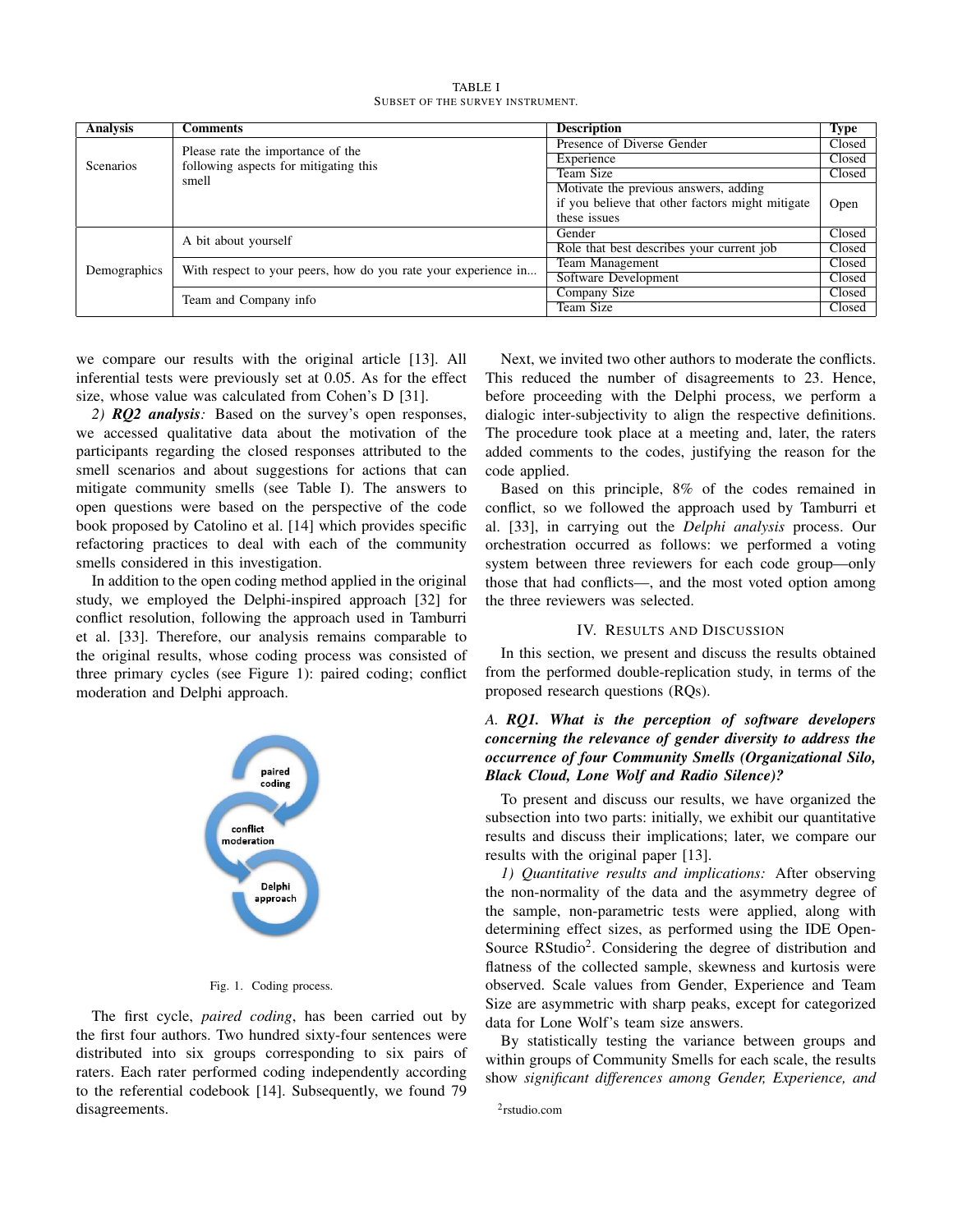TABLE I SUBSET OF THE SURVEY INSTRUMENT.

| Analysis         | <b>Comments</b>                                                | <b>Description</b>                               | Type   |
|------------------|----------------------------------------------------------------|--------------------------------------------------|--------|
|                  | Please rate the importance of the                              | Presence of Diverse Gender                       | Closed |
| <b>Scenarios</b> | following aspects for mitigating this                          | Experience                                       | Closed |
|                  | smell                                                          | Team Size                                        | Closed |
|                  |                                                                | Motivate the previous answers, adding            |        |
|                  |                                                                | if you believe that other factors might mitigate | Open   |
|                  |                                                                | these issues                                     |        |
|                  | A bit about yourself                                           | Gender                                           | Closed |
|                  |                                                                | Role that best describes your current job        | Closed |
| Demographics     | With respect to your peers, how do you rate your experience in | Team Management                                  | Closed |
|                  |                                                                | Software Development                             | Closed |
|                  | Team and Company info                                          | Company Size                                     | Closed |
|                  |                                                                | Team Size                                        | Closed |

we compare our results with the original article [13]. All inferential tests were previously set at 0.05. As for the effect size, whose value was calculated from Cohen's D [31].

*2) RQ2 analysis:* Based on the survey's open responses, we accessed qualitative data about the motivation of the participants regarding the closed responses attributed to the smell scenarios and about suggestions for actions that can mitigate community smells (see Table I). The answers to open questions were based on the perspective of the code book proposed by Catolino et al. [14] which provides specific refactoring practices to deal with each of the community smells considered in this investigation.

In addition to the open coding method applied in the original study, we employed the Delphi-inspired approach [32] for conflict resolution, following the approach used in Tamburri et al. [33]. Therefore, our analysis remains comparable to the original results, whose coding process was consisted of three primary cycles (see Figure 1): paired coding; conflict moderation and Delphi approach.



#### Fig. 1. Coding process.

The first cycle, *paired coding*, has been carried out by the first four authors. Two hundred sixty-four sentences were distributed into six groups corresponding to six pairs of raters. Each rater performed coding independently according to the referential codebook [14]. Subsequently, we found 79 disagreements.

Next, we invited two other authors to moderate the conflicts. This reduced the number of disagreements to 23. Hence, before proceeding with the Delphi process, we perform a dialogic inter-subjectivity to align the respective definitions. The procedure took place at a meeting and, later, the raters added comments to the codes, justifying the reason for the code applied.

Based on this principle, 8% of the codes remained in conflict, so we followed the approach used by Tamburri et al. [33], in carrying out the *Delphi analysis* process. Our orchestration occurred as follows: we performed a voting system between three reviewers for each code group—only those that had conflicts—, and the most voted option among the three reviewers was selected.

#### IV. RESULTS AND DISCUSSION

In this section, we present and discuss the results obtained from the performed double-replication study, in terms of the proposed research questions (RQs).

# *A. RQ1. What is the perception of software developers concerning the relevance of gender diversity to address the occurrence of four Community Smells (Organizational Silo, Black Cloud, Lone Wolf and Radio Silence)?*

To present and discuss our results, we have organized the subsection into two parts: initially, we exhibit our quantitative results and discuss their implications; later, we compare our results with the original paper [13].

*1) Quantitative results and implications:* After observing the non-normality of the data and the asymmetry degree of the sample, non-parametric tests were applied, along with determining effect sizes, as performed using the IDE Open-Source RStudio<sup>2</sup>. Considering the degree of distribution and flatness of the collected sample, skewness and kurtosis were observed. Scale values from Gender, Experience and Team Size are asymmetric with sharp peaks, except for categorized data for Lone Wolf's team size answers.

By statistically testing the variance between groups and within groups of Community Smells for each scale, the results show *significant differences among Gender, Experience, and*

<sup>2</sup> rstudio.com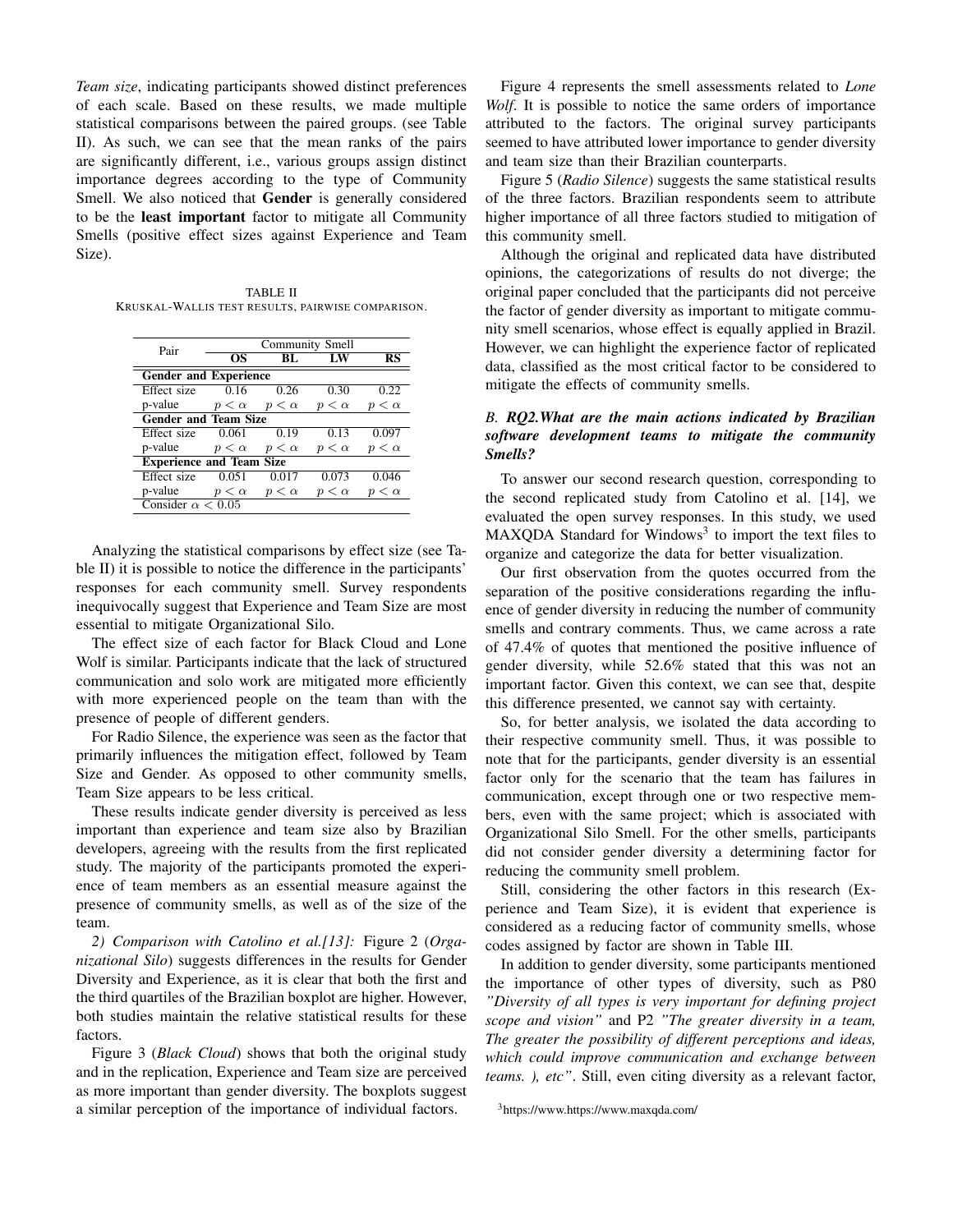*Team size*, indicating participants showed distinct preferences of each scale. Based on these results, we made multiple statistical comparisons between the paired groups. (see Table II). As such, we can see that the mean ranks of the pairs are significantly different, i.e., various groups assign distinct importance degrees according to the type of Community Smell. We also noticed that Gender is generally considered to be the least important factor to mitigate all Community Smells (positive effect sizes against Experience and Team Size).

TABLE II KRUSKAL-WALLIS TEST RESULTS, PAIRWISE COMPARISON.

| Pair                            |              | <b>Community Smell</b>  |              |                  |
|---------------------------------|--------------|-------------------------|--------------|------------------|
|                                 | OS           | $\overline{\mathbf{B}}$ |              | RS               |
| <b>Gender and Experience</b>    |              |                         |              |                  |
| Effect size                     | 0.16         | 0.26                    | 0.30         | 0.22             |
| p-value                         | $p < \alpha$ | $p < \alpha$            | $p < \alpha$ | $p < \alpha$     |
| <b>Gender and Team Size</b>     |              |                         |              |                  |
| Effect size                     | 0.061        | 0.19                    | 0.13         | 0.097            |
| p-value                         | $p < \alpha$ | $p < \alpha$            | $p < \alpha$ | $p < \alpha$     |
| <b>Experience and Team Size</b> |              |                         |              |                  |
| <b>Effect</b> size              | 0.051        | 0.017                   | 0.073        | 0.046            |
| p-value                         | $p < \alpha$ | $p < \alpha$            | $p < \alpha$ | $\langle \alpha$ |
| Consider $\alpha$ < 0.05        |              |                         |              |                  |

Analyzing the statistical comparisons by effect size (see Table II) it is possible to notice the difference in the participants' responses for each community smell. Survey respondents inequivocally suggest that Experience and Team Size are most essential to mitigate Organizational Silo.

The effect size of each factor for Black Cloud and Lone Wolf is similar. Participants indicate that the lack of structured communication and solo work are mitigated more efficiently with more experienced people on the team than with the presence of people of different genders.

For Radio Silence, the experience was seen as the factor that primarily influences the mitigation effect, followed by Team Size and Gender. As opposed to other community smells, Team Size appears to be less critical.

These results indicate gender diversity is perceived as less important than experience and team size also by Brazilian developers, agreeing with the results from the first replicated study. The majority of the participants promoted the experience of team members as an essential measure against the presence of community smells, as well as of the size of the team.

*2) Comparison with Catolino et al.[13]:* Figure 2 (*Organizational Silo*) suggests differences in the results for Gender Diversity and Experience, as it is clear that both the first and the third quartiles of the Brazilian boxplot are higher. However, both studies maintain the relative statistical results for these factors.

Figure 3 (*Black Cloud*) shows that both the original study and in the replication, Experience and Team size are perceived as more important than gender diversity. The boxplots suggest a similar perception of the importance of individual factors.

Figure 4 represents the smell assessments related to *Lone Wolf*. It is possible to notice the same orders of importance attributed to the factors. The original survey participants seemed to have attributed lower importance to gender diversity and team size than their Brazilian counterparts.

Figure 5 (*Radio Silence*) suggests the same statistical results of the three factors. Brazilian respondents seem to attribute higher importance of all three factors studied to mitigation of this community smell.

Although the original and replicated data have distributed opinions, the categorizations of results do not diverge; the original paper concluded that the participants did not perceive the factor of gender diversity as important to mitigate community smell scenarios, whose effect is equally applied in Brazil. However, we can highlight the experience factor of replicated data, classified as the most critical factor to be considered to mitigate the effects of community smells.

# *B. RQ2.What are the main actions indicated by Brazilian software development teams to mitigate the community Smells?*

To answer our second research question, corresponding to the second replicated study from Catolino et al. [14], we evaluated the open survey responses. In this study, we used MAXQDA Standard for Windows<sup>3</sup> to import the text files to organize and categorize the data for better visualization.

Our first observation from the quotes occurred from the separation of the positive considerations regarding the influence of gender diversity in reducing the number of community smells and contrary comments. Thus, we came across a rate of 47.4% of quotes that mentioned the positive influence of gender diversity, while 52.6% stated that this was not an important factor. Given this context, we can see that, despite this difference presented, we cannot say with certainty.

So, for better analysis, we isolated the data according to their respective community smell. Thus, it was possible to note that for the participants, gender diversity is an essential factor only for the scenario that the team has failures in communication, except through one or two respective members, even with the same project; which is associated with Organizational Silo Smell. For the other smells, participants did not consider gender diversity a determining factor for reducing the community smell problem.

Still, considering the other factors in this research (Experience and Team Size), it is evident that experience is considered as a reducing factor of community smells, whose codes assigned by factor are shown in Table III.

In addition to gender diversity, some participants mentioned the importance of other types of diversity, such as P80 *"Diversity of all types is very important for defining project scope and vision"* and P2 *"The greater diversity in a team, The greater the possibility of different perceptions and ideas, which could improve communication and exchange between teams. ), etc"*. Still, even citing diversity as a relevant factor,

<sup>3</sup>https://www.https://www.maxqda.com/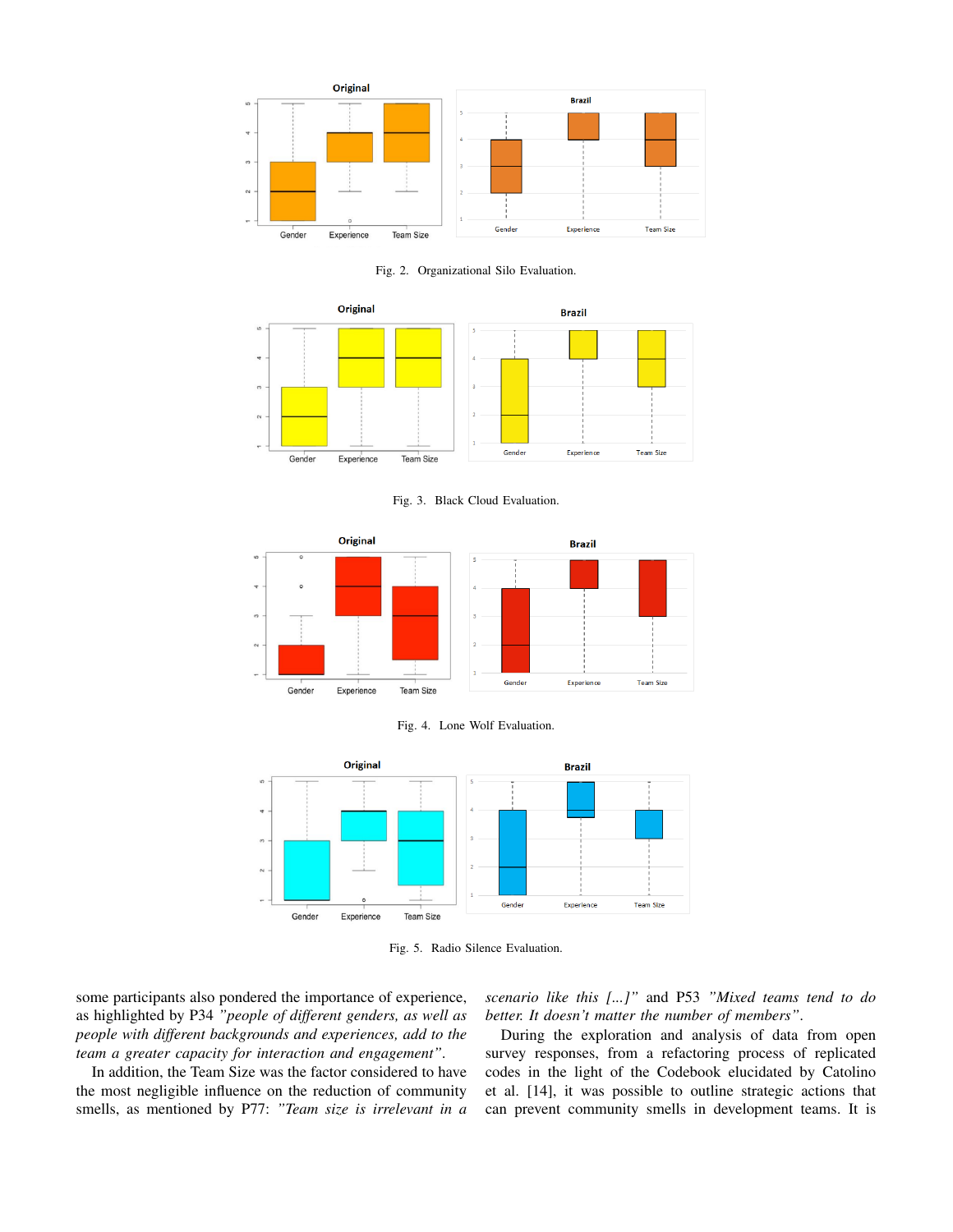

Fig. 2. Organizational Silo Evaluation.



Fig. 3. Black Cloud Evaluation.







Fig. 5. Radio Silence Evaluation.

some participants also pondered the importance of experience, as highlighted by P34 *"people of different genders, as well as people with different backgrounds and experiences, add to the team a greater capacity for interaction and engagement"*.

In addition, the Team Size was the factor considered to have the most negligible influence on the reduction of community smells, as mentioned by P77: *"Team size is irrelevant in a*

*scenario like this [...]"* and P53 *"Mixed teams tend to do better. It doesn't matter the number of members"*.

During the exploration and analysis of data from open survey responses, from a refactoring process of replicated codes in the light of the Codebook elucidated by Catolino et al. [14], it was possible to outline strategic actions that can prevent community smells in development teams. It is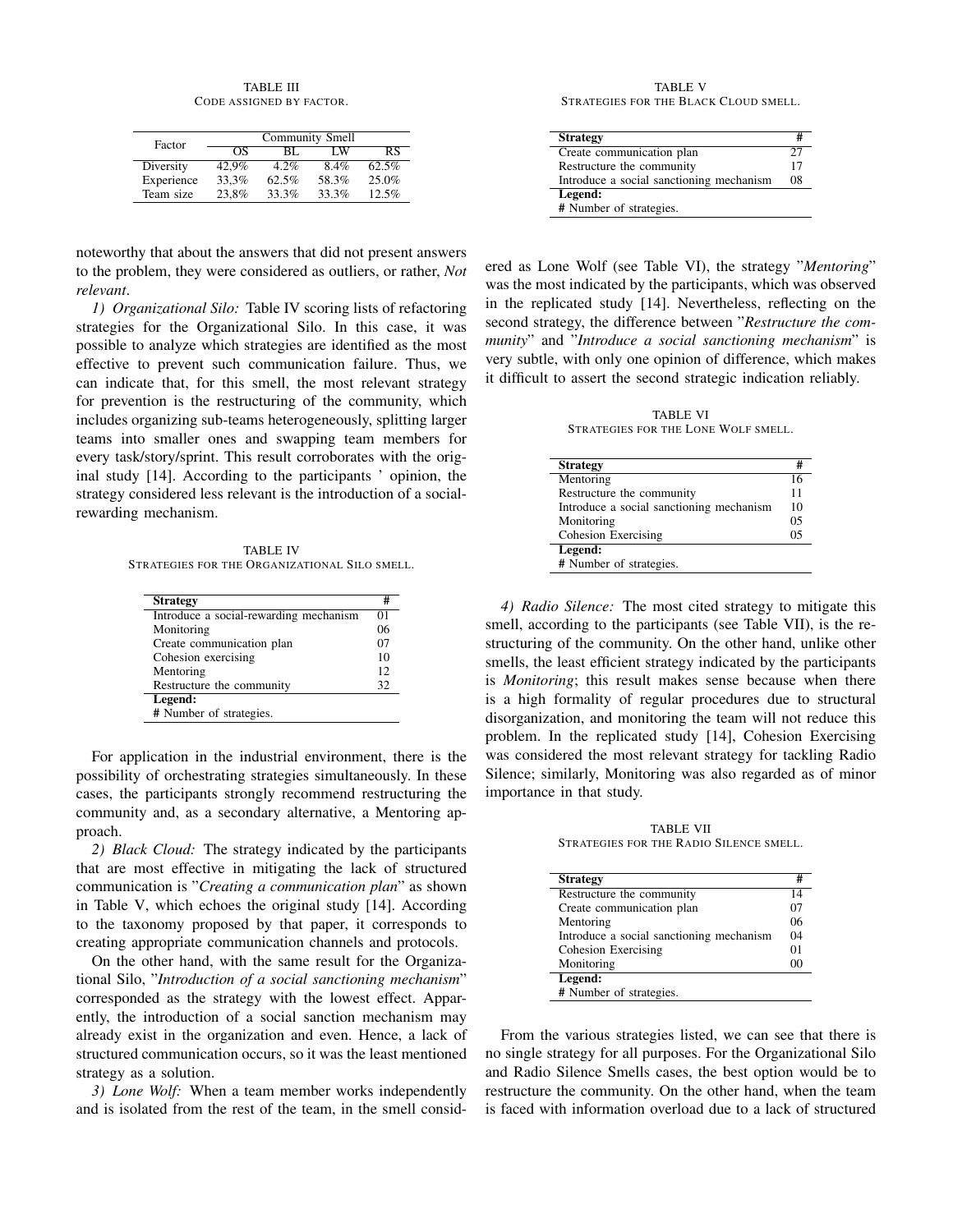TABLE III CODE ASSIGNED BY FACTOR.

| Factor     |       |       | <b>Community Smell</b> |       |
|------------|-------|-------|------------------------|-------|
|            | OS    | BL.   | ΙW                     | RS    |
| Diversity  | 42.9% | 4.2%  | 8.4%                   | 62.5% |
| Experience | 33.3% | 62.5% | 58.3%                  | 25.0% |
| Team size  | 23.8% | 33.3% | 33.3%                  | 12.5% |

noteworthy that about the answers that did not present answers to the problem, they were considered as outliers, or rather, *Not relevant*.

*1) Organizational Silo:* Table IV scoring lists of refactoring strategies for the Organizational Silo. In this case, it was possible to analyze which strategies are identified as the most effective to prevent such communication failure. Thus, we can indicate that, for this smell, the most relevant strategy for prevention is the restructuring of the community, which includes organizing sub-teams heterogeneously, splitting larger teams into smaller ones and swapping team members for every task/story/sprint. This result corroborates with the original study [14]. According to the participants ' opinion, the strategy considered less relevant is the introduction of a socialrewarding mechanism.

TABLE IV STRATEGIES FOR THE ORGANIZATIONAL SILO SMELL.

| <b>Strategy</b>                        | #       |
|----------------------------------------|---------|
| Introduce a social-rewarding mechanism | $^{01}$ |
| Monitoring                             | 06      |
| Create communication plan              | 07      |
| Cohesion exercising                    | 10      |
| Mentoring                              | 12      |
| Restructure the community              | 32      |
| Legend:                                |         |
| # Number of strategies.                |         |

For application in the industrial environment, there is the possibility of orchestrating strategies simultaneously. In these cases, the participants strongly recommend restructuring the community and, as a secondary alternative, a Mentoring approach.

*2) Black Cloud:* The strategy indicated by the participants that are most effective in mitigating the lack of structured communication is "*Creating a communication plan*" as shown in Table V, which echoes the original study [14]. According to the taxonomy proposed by that paper, it corresponds to creating appropriate communication channels and protocols.

On the other hand, with the same result for the Organizational Silo, "*Introduction of a social sanctioning mechanism*" corresponded as the strategy with the lowest effect. Apparently, the introduction of a social sanction mechanism may already exist in the organization and even. Hence, a lack of structured communication occurs, so it was the least mentioned strategy as a solution.

*3) Lone Wolf:* When a team member works independently and is isolated from the rest of the team, in the smell consid-

TABLE V STRATEGIES FOR THE BLACK CLOUD SMELL.

| <b>Strategy</b>                          |    |
|------------------------------------------|----|
| Create communication plan                | 27 |
| Restructure the community                | 17 |
| Introduce a social sanctioning mechanism | 08 |
| Legend:                                  |    |
| # Number of strategies.                  |    |

ered as Lone Wolf (see Table VI), the strategy "*Mentoring*" was the most indicated by the participants, which was observed in the replicated study [14]. Nevertheless, reflecting on the second strategy, the difference between "*Restructure the community*" and "*Introduce a social sanctioning mechanism*" is very subtle, with only one opinion of difference, which makes it difficult to assert the second strategic indication reliably.

TABLE VI STRATEGIES FOR THE LONE WOLF SMELL.

| <b>Strategy</b>                          | #  |
|------------------------------------------|----|
| Mentoring                                |    |
| Restructure the community                | 11 |
| Introduce a social sanctioning mechanism | 10 |
| Monitoring                               | 05 |
| Cohesion Exercising                      |    |
| Legend:                                  |    |
| # Number of strategies.                  |    |

*4) Radio Silence:* The most cited strategy to mitigate this smell, according to the participants (see Table VII), is the restructuring of the community. On the other hand, unlike other smells, the least efficient strategy indicated by the participants is *Monitoring*; this result makes sense because when there is a high formality of regular procedures due to structural disorganization, and monitoring the team will not reduce this problem. In the replicated study [14], Cohesion Exercising was considered the most relevant strategy for tackling Radio Silence; similarly, Monitoring was also regarded as of minor importance in that study.

TABLE VII STRATEGIES FOR THE RADIO SILENCE SMELL.

| <b>Strategy</b>                          | #       |
|------------------------------------------|---------|
| Restructure the community                | 14      |
| Create communication plan                | 07      |
| Mentoring                                | 06      |
| Introduce a social sanctioning mechanism | 04      |
| Cohesion Exercising                      | $^{01}$ |
| Monitoring                               | ററ      |
| Legend:                                  |         |
| # Number of strategies.                  |         |

From the various strategies listed, we can see that there is no single strategy for all purposes. For the Organizational Silo and Radio Silence Smells cases, the best option would be to restructure the community. On the other hand, when the team is faced with information overload due to a lack of structured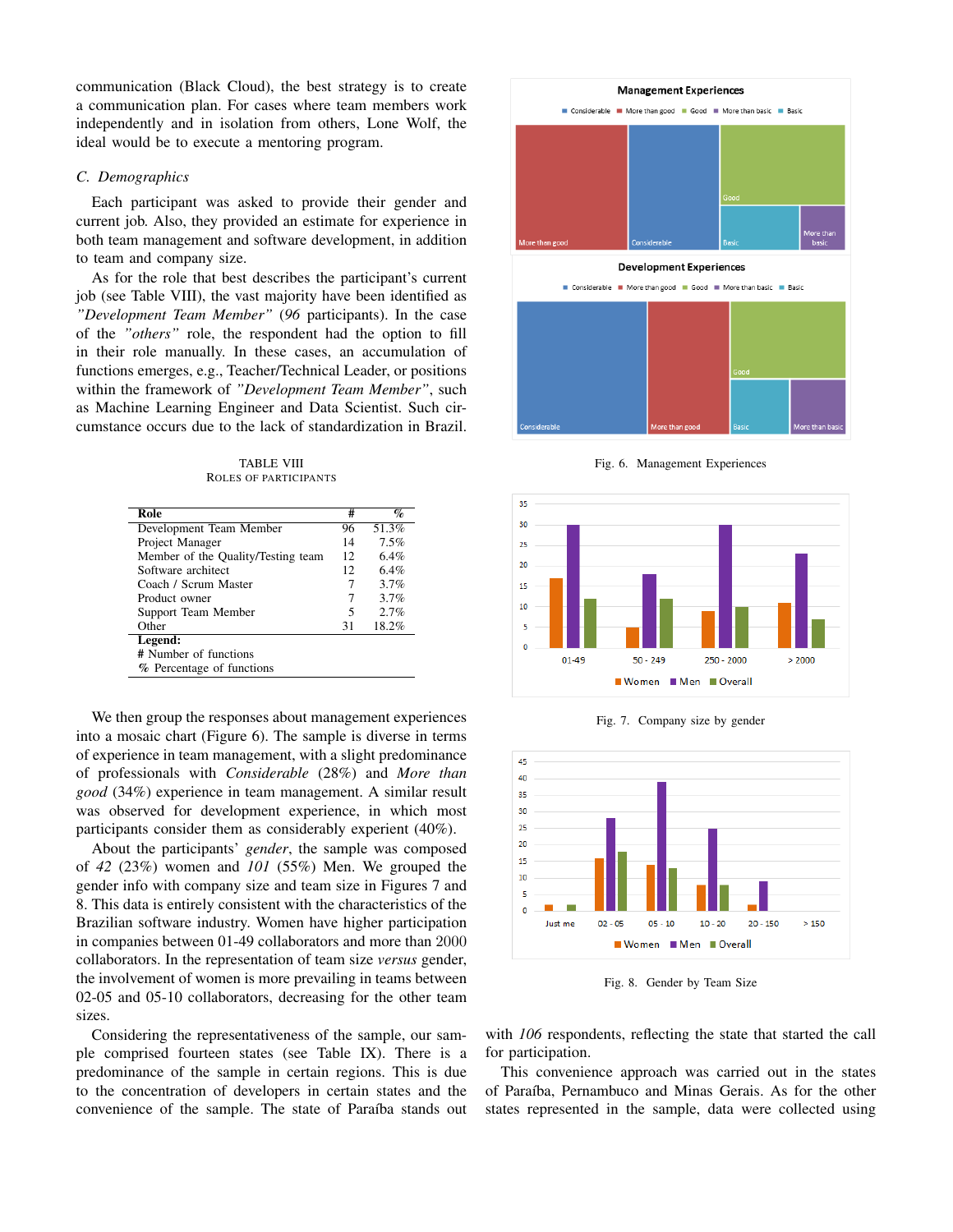communication (Black Cloud), the best strategy is to create a communication plan. For cases where team members work independently and in isolation from others, Lone Wolf, the ideal would be to execute a mentoring program.

## *C. Demographics*

Each participant was asked to provide their gender and current job. Also, they provided an estimate for experience in both team management and software development, in addition to team and company size.

As for the role that best describes the participant's current job (see Table VIII), the vast majority have been identified as *"Development Team Member"* (*96* participants). In the case of the *"others"* role, the respondent had the option to fill in their role manually. In these cases, an accumulation of functions emerges, e.g., Teacher/Technical Leader, or positions within the framework of *"Development Team Member"*, such as Machine Learning Engineer and Data Scientist. Such circumstance occurs due to the lack of standardization in Brazil.

TABLE VIII ROLES OF PARTICIPANTS

| Role                               | #  | $\%$  |
|------------------------------------|----|-------|
| Development Team Member            | 96 | 51.3% |
| Project Manager                    | 14 | 7.5%  |
| Member of the Quality/Testing team | 12 | 6.4%  |
| Software architect                 | 12 | 6.4%  |
| Coach / Scrum Master               | 7  | 3.7%  |
| Product owner                      | 7  | 3.7%  |
| Support Team Member                | 5  | 2.7%  |
| Other                              | 31 | 18.2% |
| Legend:                            |    |       |
| # Number of functions              |    |       |
| % Percentage of functions          |    |       |

We then group the responses about management experiences into a mosaic chart (Figure 6). The sample is diverse in terms of experience in team management, with a slight predominance of professionals with *Considerable* (28%) and *More than good* (34%) experience in team management. A similar result was observed for development experience, in which most participants consider them as considerably experient (40%).

About the participants' *gender*, the sample was composed of *42* (23%) women and *101* (55%) Men. We grouped the gender info with company size and team size in Figures 7 and 8. This data is entirely consistent with the characteristics of the Brazilian software industry. Women have higher participation in companies between 01-49 collaborators and more than 2000 collaborators. In the representation of team size *versus* gender, the involvement of women is more prevailing in teams between 02-05 and 05-10 collaborators, decreasing for the other team sizes.

Considering the representativeness of the sample, our sample comprised fourteen states (see Table IX). There is a predominance of the sample in certain regions. This is due to the concentration of developers in certain states and the convenience of the sample. The state of Paraíba stands out



Fig. 6. Management Experiences



Fig. 7. Company size by gender



Fig. 8. Gender by Team Size

with *106* respondents, reflecting the state that started the call for participation.

This convenience approach was carried out in the states of Paraíba, Pernambuco and Minas Gerais. As for the other states represented in the sample, data were collected using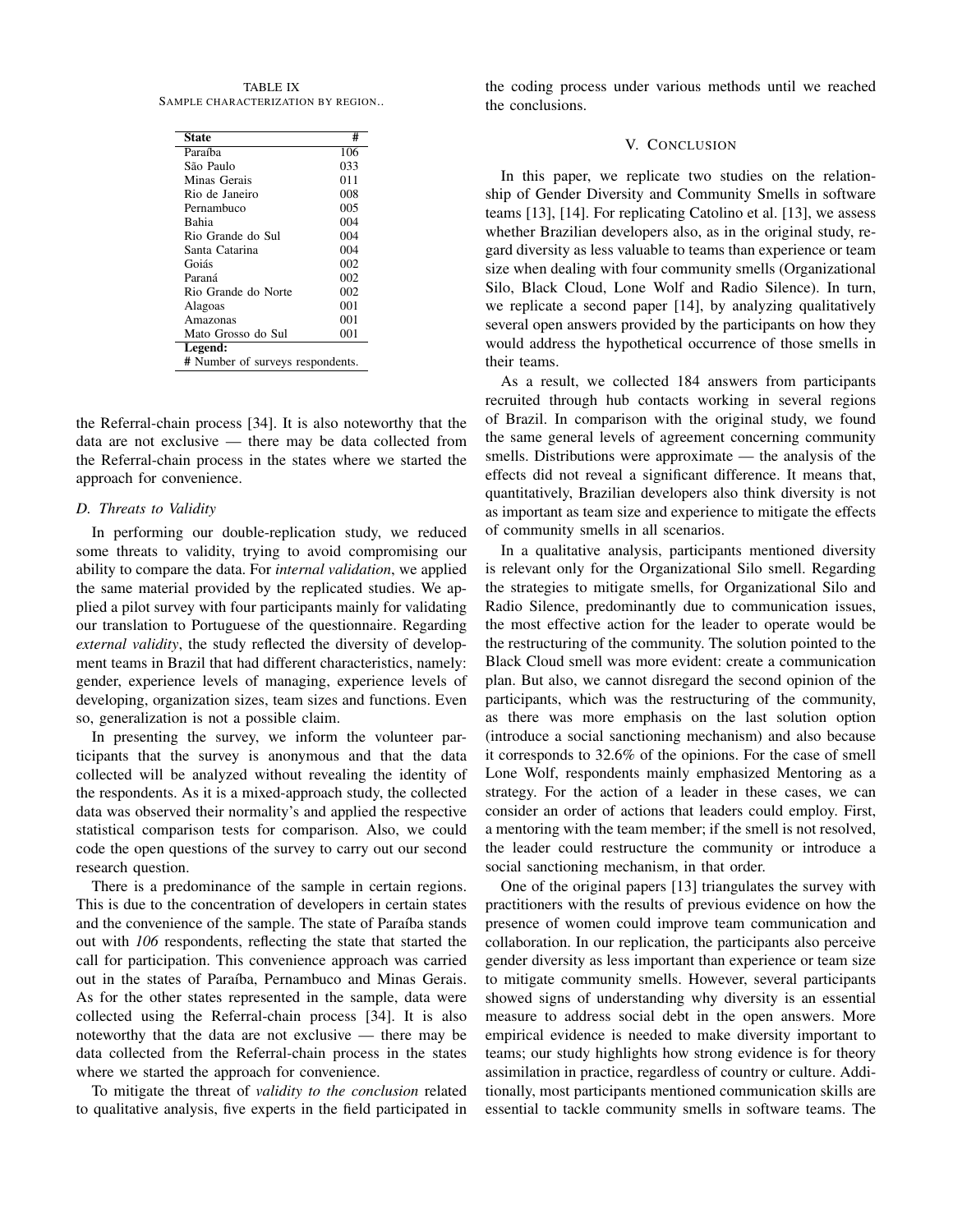TABLE IX SAMPLE CHARACTERIZATION BY REGION..

| State                           | #   |
|---------------------------------|-----|
| Paraíba                         | 106 |
| São Paulo                       | 033 |
| Minas Gerais                    | 011 |
| Rio de Janeiro                  | 008 |
| Pernambuco                      | 005 |
| <b>Bahia</b>                    | 004 |
| Rio Grande do Sul               | 004 |
| Santa Catarina                  | 004 |
| Goiás                           | 002 |
| Paraná                          | 002 |
| Rio Grande do Norte             | 002 |
| Alagoas                         | 001 |
| Amazonas                        | 001 |
| Mato Grosso do Sul              | 001 |
| Legend:                         |     |
| # Number of surveys respondents |     |

# Number of surveys respondents.

the Referral-chain process [34]. It is also noteworthy that the data are not exclusive — there may be data collected from the Referral-chain process in the states where we started the approach for convenience.

#### *D. Threats to Validity*

In performing our double-replication study, we reduced some threats to validity, trying to avoid compromising our ability to compare the data. For *internal validation*, we applied the same material provided by the replicated studies. We applied a pilot survey with four participants mainly for validating our translation to Portuguese of the questionnaire. Regarding *external validity*, the study reflected the diversity of development teams in Brazil that had different characteristics, namely: gender, experience levels of managing, experience levels of developing, organization sizes, team sizes and functions. Even so, generalization is not a possible claim.

In presenting the survey, we inform the volunteer participants that the survey is anonymous and that the data collected will be analyzed without revealing the identity of the respondents. As it is a mixed-approach study, the collected data was observed their normality's and applied the respective statistical comparison tests for comparison. Also, we could code the open questions of the survey to carry out our second research question.

There is a predominance of the sample in certain regions. This is due to the concentration of developers in certain states and the convenience of the sample. The state of Paraíba stands out with *106* respondents, reflecting the state that started the call for participation. This convenience approach was carried out in the states of Paraíba, Pernambuco and Minas Gerais. As for the other states represented in the sample, data were collected using the Referral-chain process [34]. It is also noteworthy that the data are not exclusive — there may be data collected from the Referral-chain process in the states where we started the approach for convenience.

To mitigate the threat of *validity to the conclusion* related to qualitative analysis, five experts in the field participated in the coding process under various methods until we reached the conclusions.

# V. CONCLUSION

In this paper, we replicate two studies on the relationship of Gender Diversity and Community Smells in software teams [13], [14]. For replicating Catolino et al. [13], we assess whether Brazilian developers also, as in the original study, regard diversity as less valuable to teams than experience or team size when dealing with four community smells (Organizational Silo, Black Cloud, Lone Wolf and Radio Silence). In turn, we replicate a second paper [14], by analyzing qualitatively several open answers provided by the participants on how they would address the hypothetical occurrence of those smells in their teams.

As a result, we collected 184 answers from participants recruited through hub contacts working in several regions of Brazil. In comparison with the original study, we found the same general levels of agreement concerning community smells. Distributions were approximate — the analysis of the effects did not reveal a significant difference. It means that, quantitatively, Brazilian developers also think diversity is not as important as team size and experience to mitigate the effects of community smells in all scenarios.

In a qualitative analysis, participants mentioned diversity is relevant only for the Organizational Silo smell. Regarding the strategies to mitigate smells, for Organizational Silo and Radio Silence, predominantly due to communication issues, the most effective action for the leader to operate would be the restructuring of the community. The solution pointed to the Black Cloud smell was more evident: create a communication plan. But also, we cannot disregard the second opinion of the participants, which was the restructuring of the community, as there was more emphasis on the last solution option (introduce a social sanctioning mechanism) and also because it corresponds to 32.6% of the opinions. For the case of smell Lone Wolf, respondents mainly emphasized Mentoring as a strategy. For the action of a leader in these cases, we can consider an order of actions that leaders could employ. First, a mentoring with the team member; if the smell is not resolved, the leader could restructure the community or introduce a social sanctioning mechanism, in that order.

One of the original papers [13] triangulates the survey with practitioners with the results of previous evidence on how the presence of women could improve team communication and collaboration. In our replication, the participants also perceive gender diversity as less important than experience or team size to mitigate community smells. However, several participants showed signs of understanding why diversity is an essential measure to address social debt in the open answers. More empirical evidence is needed to make diversity important to teams; our study highlights how strong evidence is for theory assimilation in practice, regardless of country or culture. Additionally, most participants mentioned communication skills are essential to tackle community smells in software teams. The